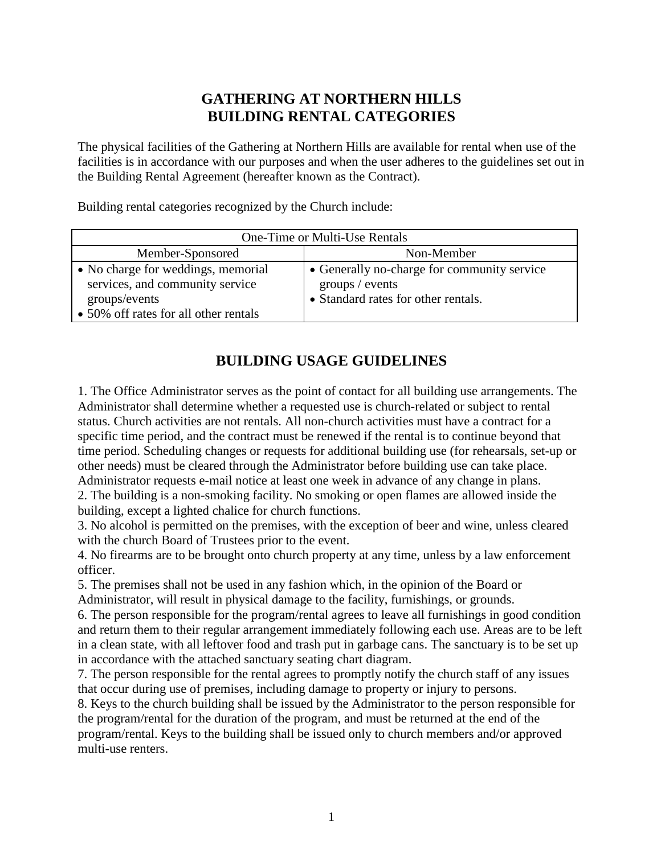## **GATHERING AT NORTHERN HILLS BUILDING RENTAL CATEGORIES**

The physical facilities of the Gathering at Northern Hills are available for rental when use of the facilities is in accordance with our purposes and when the user adheres to the guidelines set out in the Building Rental Agreement (hereafter known as the Contract).

Building rental categories recognized by the Church include:

| One-Time or Multi-Use Rentals                                                                                                   |                                                                                                       |  |
|---------------------------------------------------------------------------------------------------------------------------------|-------------------------------------------------------------------------------------------------------|--|
| Member-Sponsored                                                                                                                | Non-Member                                                                                            |  |
| • No charge for weddings, memorial<br>services, and community service<br>groups/events<br>• 50% off rates for all other rentals | • Generally no-charge for community service<br>groups / events<br>• Standard rates for other rentals. |  |

# **BUILDING USAGE GUIDELINES**

1. The Office Administrator serves as the point of contact for all building use arrangements. The Administrator shall determine whether a requested use is church-related or subject to rental status. Church activities are not rentals. All non-church activities must have a contract for a specific time period, and the contract must be renewed if the rental is to continue beyond that time period. Scheduling changes or requests for additional building use (for rehearsals, set-up or other needs) must be cleared through the Administrator before building use can take place. Administrator requests e-mail notice at least one week in advance of any change in plans.

2. The building is a non-smoking facility. No smoking or open flames are allowed inside the building, except a lighted chalice for church functions.

3. No alcohol is permitted on the premises, with the exception of beer and wine, unless cleared with the church Board of Trustees prior to the event.

4. No firearms are to be brought onto church property at any time, unless by a law enforcement officer.

5. The premises shall not be used in any fashion which, in the opinion of the Board or

Administrator, will result in physical damage to the facility, furnishings, or grounds.

6. The person responsible for the program/rental agrees to leave all furnishings in good condition and return them to their regular arrangement immediately following each use. Areas are to be left in a clean state, with all leftover food and trash put in garbage cans. The sanctuary is to be set up in accordance with the attached sanctuary seating chart diagram.

7. The person responsible for the rental agrees to promptly notify the church staff of any issues that occur during use of premises, including damage to property or injury to persons.

8. Keys to the church building shall be issued by the Administrator to the person responsible for the program/rental for the duration of the program, and must be returned at the end of the program/rental. Keys to the building shall be issued only to church members and/or approved multi-use renters.